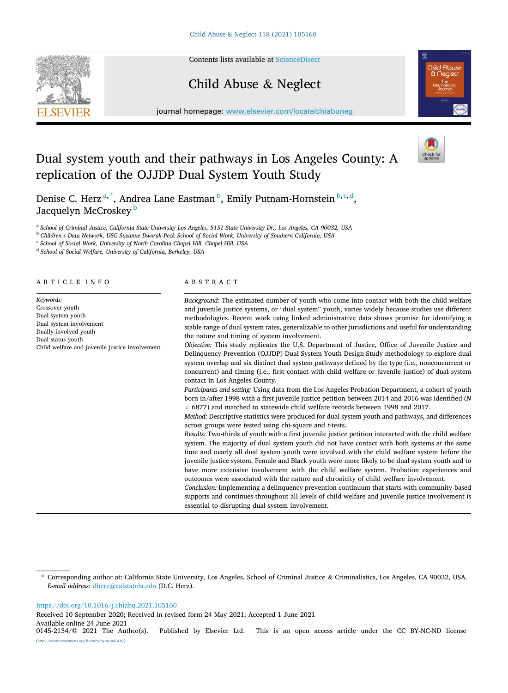Contents lists available at [ScienceDirect](www.sciencedirect.com/science/journal/01452134)

# Child Abuse & Neglect



journal homepage: [www.elsevier.com/locate/chiabuneg](https://www.elsevier.com/locate/chiabuneg)

# Dual system youth and their pathways in Los Angeles County: A replication of the OJJDP Dual System Youth Study



Denise C. Herz<sup>a,\*</sup>, Andrea Lane Eastman<sup>b</sup>, Emily Putnam-Hornstein<sup>b,c,d</sup>, Jacquelyn McCroskey<sup>b</sup>

<sup>a</sup> *School of Criminal Justice, California State University Los Angeles, 5151 State University Dr., Los Angeles, CA 90032, USA* 

<sup>b</sup> *Children's Data Network, USC Suzanne Dworak-Peck School of Social Work, University of Southern California, USA* 

<sup>c</sup> *School of Social Work, University of North Carolina Chapel Hill, Chapel Hill, USA* 

<sup>d</sup> *School of Social Welfare, University of California, Berkeley, USA* 

# ARTICLE INFO

*Keywords:*  Crossover youth Dual system youth Dual system involvement Dually-involved youth Dual status youth Child welfare and juvenile justice involvement

# ABSTRACT

*Background:* The estimated number of youth who come into contact with both the child welfare and juvenile justice systems, or "dual system" youth, varies widely because studies use different methodologies. Recent work using linked administrative data shows promise for identifying a stable range of dual system rates, generalizable to other jurisdictions and useful for understanding the nature and timing of system involvement.

*Objective:* This study replicates the U.S. Department of Justice, Office of Juvenile Justice and Delinquency Prevention (OJJDP) Dual System Youth Design Study methodology to explore dual system overlap and six distinct dual system pathways defined by the type (i.e., nonconcurrent or concurrent) and timing (i.e., first contact with child welfare or juvenile justice) of dual system contact in Los Angeles County.

*Participants and setting:* Using data from the Los Angeles Probation Department, a cohort of youth born in/after 1998 with a first juvenile justice petition between 2014 and 2016 was identified (*N*  = 6877) and matched to statewide child welfare records between 1998 and 2017.

*Method:* Descriptive statistics were produced for dual system youth and pathways, and differences across groups were tested using chi-square and *t*-tests.

*Results:* Two-thirds of youth with a first juvenile justice petition interacted with the child welfare system. The majority of dual system youth did not have contact with both systems at the same time and nearly all dual system youth were involved with the child welfare system before the juvenile justice system. Female and Black youth were more likely to be dual system youth and to have more extensive involvement with the child welfare system. Probation experiences and outcomes were associated with the nature and chronicity of child welfare involvement.

*Conclusion:* Implementing a delinquency prevention continuum that starts with community-based supports and continues throughout all levels of child welfare and juvenile justice involvement is essential to disrupting dual system involvement.

#### <https://doi.org/10.1016/j.chiabu.2021.105160>

Received 10 September 2020; Received in revised form 24 May 2021; Accepted 1 June 2021

Available online 24 June 2021<br>0145-2134/© 2021 The Author(s).

<sup>\*</sup> Corresponding author at: California State University, Los Angeles, School of Criminal Justice & Criminalistics, Los Angeles, CA 90032, USA. *E-mail address:* [dherz@calstatela.edu](mailto:dherz@calstatela.edu) (D.C. Herz).

Published by Elsevier Ltd. This is an open access article under the CC BY-NC-ND license [\(http://creativecommons.org/licenses/by-nc-nd/4.0/\)](http://creativecommons.org/licenses/by-nc-nd/4.0/).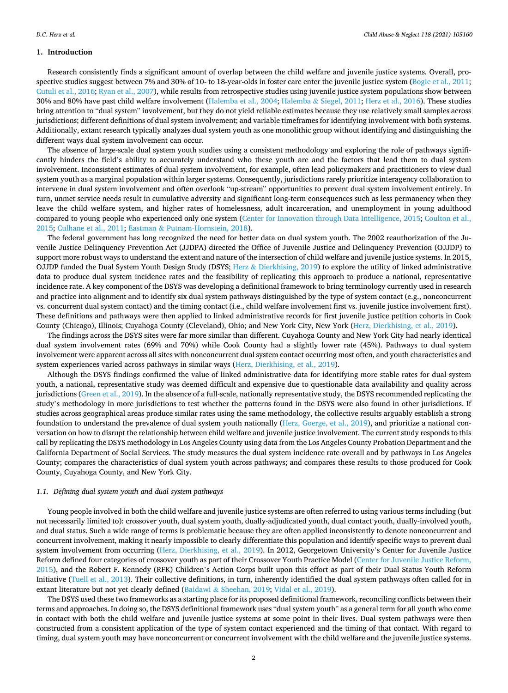# **1. Introduction**

Research consistently finds a significant amount of overlap between the child welfare and juvenile justice systems. Overall, prospective studies suggest between 7% and 30% of 10- to 18-year-olds in foster care enter the juvenile justice system [\(Bogie et al., 2011](#page-10-0); [Cutuli et al., 2016;](#page-10-0) [Ryan et al., 2007\)](#page-11-0), while results from retrospective studies using juvenile justice system populations show between 30% and 80% have past child welfare involvement ([Halemba et al., 2004](#page-11-0); Halemba & [Siegel, 2011](#page-11-0); [Herz et al., 2016\)](#page-11-0). These studies bring attention to "dual system" involvement, but they do not yield reliable estimates because they use relatively small samples across jurisdictions; different definitions of dual system involvement; and variable timeframes for identifying involvement with both systems. Additionally, extant research typically analyzes dual system youth as one monolithic group without identifying and distinguishing the different ways dual system involvement can occur.

The absence of large-scale dual system youth studies using a consistent methodology and exploring the role of pathways significantly hinders the field's ability to accurately understand who these youth are and the factors that lead them to dual system involvement. Inconsistent estimates of dual system involvement, for example, often lead policymakers and practitioners to view dual system youth as a marginal population within larger systems. Consequently, jurisdictions rarely prioritize interagency collaboration to intervene in dual system involvement and often overlook "up-stream" opportunities to prevent dual system involvement entirely. In turn, unmet service needs result in cumulative adversity and significant long-term consequences such as less permanency when they leave the child welfare system, and higher rates of homelessness, adult incarceration, and unemployment in young adulthood compared to young people who experienced only one system ([Center for Innovation through Data Intelligence, 2015; Coulton et al.,](#page-10-0) [2015;](#page-10-0) [Culhane et al., 2011](#page-10-0); Eastman & [Putnam-Hornstein, 2018\)](#page-11-0).

The federal government has long recognized the need for better data on dual system youth. The 2002 reauthorization of the Juvenile Justice Delinquency Prevention Act (JJDPA) directed the Office of Juvenile Justice and Delinquency Prevention (OJJDP) to support more robust ways to understand the extent and nature of the intersection of child welfare and juvenile justice systems. In 2015, OJJDP funded the Dual System Youth Design Study (DSYS; Herz & [Dierkhising, 2019](#page-11-0)) to explore the utility of linked administrative data to produce dual system incidence rates and the feasibility of replicating this approach to produce a national, representative incidence rate. A key component of the DSYS was developing a definitional framework to bring terminology currently used in research and practice into alignment and to identify six dual system pathways distinguished by the type of system contact (e.g., nonconcurrent vs. concurrent dual system contact) and the timing contact (i.e., child welfare involvement first vs. juvenile justice involvement first). These definitions and pathways were then applied to linked administrative records for first juvenile justice petition cohorts in Cook County (Chicago), Illinois; Cuyahoga County (Cleveland), Ohio; and New York City, New York ([Herz, Dierkhising, et al., 2019\)](#page-11-0).

The findings across the DSYS sites were far more similar than different. Cuyahoga County and New York City had nearly identical dual system involvement rates (69% and 70%) while Cook County had a slightly lower rate (45%). Pathways to dual system involvement were apparent across all sites with nonconcurrent dual system contact occurring most often, and youth characteristics and system experiences varied across pathways in similar ways [\(Herz, Dierkhising, et al., 2019](#page-11-0)).

Although the DSYS findings confirmed the value of linked administrative data for identifying more stable rates for dual system youth, a national, representative study was deemed difficult and expensive due to questionable data availability and quality across jurisdictions [\(Green et al., 2019\)](#page-11-0). In the absence of a full-scale, nationally representative study, the DSYS recommended replicating the study's methodology in more jurisdictions to test whether the patterns found in the DSYS were also found in other jurisdictions. If studies across geographical areas produce similar rates using the same methodology, the collective results arguably establish a strong foundation to understand the prevalence of dual system youth nationally ([Herz, Goerge, et al., 2019](#page-11-0)), and prioritize a national conversation on how to disrupt the relationship between child welfare and juvenile justice involvement. The current study responds to this call by replicating the DSYS methodology in Los Angeles County using data from the Los Angeles County Probation Department and the California Department of Social Services. The study measures the dual system incidence rate overall and by pathways in Los Angeles County; compares the characteristics of dual system youth across pathways; and compares these results to those produced for Cook County, Cuyahoga County, and New York City.

### *1.1. Defining dual system youth and dual system pathways*

Young people involved in both the child welfare and juvenile justice systems are often referred to using various terms including (but not necessarily limited to): crossover youth, dual system youth, dually-adjudicated youth, dual contact youth, dually-involved youth, and dual status. Such a wide range of terms is problematic because they are often applied inconsistently to denote nonconcurrent and concurrent involvement, making it nearly impossible to clearly differentiate this population and identify specific ways to prevent dual system involvement from occurring [\(Herz, Dierkhising, et al., 2019\)](#page-11-0). In 2012, Georgetown University's Center for Juvenile Justice Reform defined four categories of crossover youth as part of their Crossover Youth Practice Model ([Center for Juvenile Justice Reform,](#page-10-0) [2015\)](#page-10-0), and the Robert F. Kennedy (RFK) Children's Action Corps built upon this effort as part of their Dual Status Youth Reform Initiative [\(Tuell et al., 2013](#page-11-0)). Their collective definitions, in turn, inherently identified the dual system pathways often called for in extant literature but not yet clearly defined (Baidawi & [Sheehan, 2019](#page-10-0); [Vidal et al., 2019](#page-11-0)).

The DSYS used these two frameworks as a starting place for its proposed definitional framework, reconciling conflicts between their terms and approaches. In doing so, the DSYS definitional framework uses "dual system youth" as a general term for all youth who come in contact with both the child welfare and juvenile justice systems at some point in their lives. Dual system pathways were then constructed from a consistent application of the type of system contact experienced and the timing of that contact. With regard to timing, dual system youth may have nonconcurrent or concurrent involvement with the child welfare and the juvenile justice systems.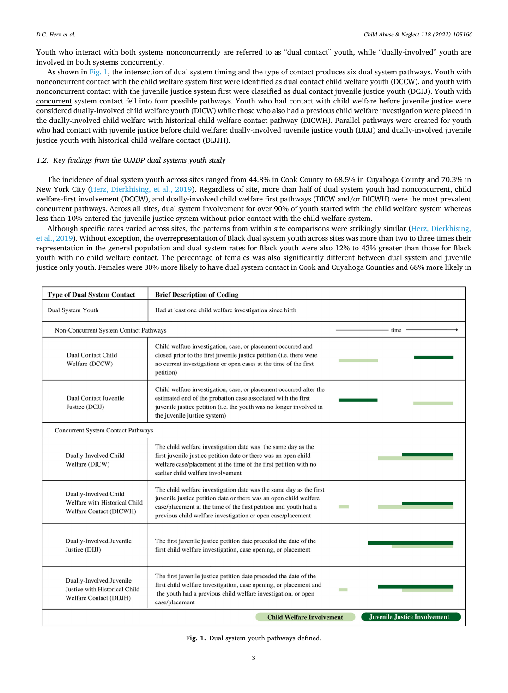Youth who interact with both systems nonconcurrently are referred to as "dual contact" youth, while "dually-involved" youth are involved in both systems concurrently.

As shown in Fig. 1, the intersection of dual system timing and the type of contact produces six dual system pathways. Youth with nonconcurrent contact with the child welfare system first were identified as dual contact child welfare youth (DCCW), and youth with nonconcurrent contact with the juvenile justice system first were classified as dual contact juvenile justice youth (DCJJ). Youth with concurrent system contact fell into four possible pathways. Youth who had contact with child welfare before juvenile justice were considered dually-involved child welfare youth (DICW) while those who also had a previous child welfare investigation were placed in the dually-involved child welfare with historical child welfare contact pathway (DICWH). Parallel pathways were created for youth who had contact with juvenile justice before child welfare: dually-involved juvenile justice youth (DIJJ) and dually-involved juvenile justice youth with historical child welfare contact (DIJJH).

# *1.2. Key findings from the OJJDP dual systems youth study*

The incidence of dual system youth across sites ranged from 44.8% in Cook County to 68.5% in Cuyahoga County and 70.3% in New York City [\(Herz, Dierkhising, et al., 2019\)](#page-11-0). Regardless of site, more than half of dual system youth had nonconcurrent, child welfare-first involvement (DCCW), and dually-involved child welfare first pathways (DICW and/or DICWH) were the most prevalent concurrent pathways. Across all sites, dual system involvement for over 90% of youth started with the child welfare system whereas less than 10% entered the juvenile justice system without prior contact with the child welfare system.

Although specific rates varied across sites, the patterns from within site comparisons were strikingly similar [\(Herz, Dierkhising,](#page-11-0) [et al., 2019](#page-11-0)). Without exception, the overrepresentation of Black dual system youth across sites was more than two to three times their representation in the general population and dual system rates for Black youth were also 12% to 43% greater than those for Black youth with no child welfare contact. The percentage of females was also significantly different between dual system and juvenile justice only youth. Females were 30% more likely to have dual system contact in Cook and Cuyahoga Counties and 68% more likely in

| <b>Type of Dual System Contact</b>                                                   | <b>Brief Description of Coding</b>                                                                                                                                                                                                                                         |                                     |
|--------------------------------------------------------------------------------------|----------------------------------------------------------------------------------------------------------------------------------------------------------------------------------------------------------------------------------------------------------------------------|-------------------------------------|
| Dual System Youth                                                                    | Had at least one child welfare investigation since birth                                                                                                                                                                                                                   |                                     |
| Non-Concurrent System Contact Pathways                                               |                                                                                                                                                                                                                                                                            | time                                |
| <b>Dual Contact Child</b><br>Welfare (DCCW)                                          | Child welfare investigation, case, or placement occurred and<br>closed prior to the first juvenile justice petition (i.e. there were<br>no current investigations or open cases at the time of the first<br>petition)                                                      |                                     |
| <b>Dual Contact Juvenile</b><br>Justice (DCJJ)                                       | Child welfare investigation, case, or placement occurred after the<br>estimated end of the probation case associated with the first<br>juvenile justice petition (i.e. the youth was no longer involved in<br>the juvenile justice system)                                 |                                     |
| <b>Concurrent System Contact Pathways</b>                                            |                                                                                                                                                                                                                                                                            |                                     |
| Dually-Involved Child<br>Welfare (DICW)                                              | The child welfare investigation date was the same day as the<br>first juvenile justice petition date or there was an open child<br>welfare case/placement at the time of the first petition with no<br>earlier child welfare involvement                                   |                                     |
| Dually-Involved Child<br>Welfare with Historical Child<br>Welfare Contact (DICWH)    | The child welfare investigation date was the same day as the first<br>juvenile justice petition date or there was an open child welfare<br>case/placement at the time of the first petition and youth had a<br>previous child welfare investigation or open case/placement |                                     |
| Dually-Involved Juvenile<br>Justice (DIJJ)                                           | The first juvenile justice petition date preceded the date of the<br>first child welfare investigation, case opening, or placement                                                                                                                                         |                                     |
| Dually-Involved Juvenile<br>Justice with Historical Child<br>Welfare Contact (DIJJH) | The first juvenile justice petition date preceded the date of the<br>first child welfare investigation, case opening, or placement and<br>the youth had a previous child welfare investigation, or open<br>case/placement                                                  |                                     |
|                                                                                      | <b>Child Welfare Involvement</b>                                                                                                                                                                                                                                           | <b>Juvenile Justice Involvement</b> |

**Fig. 1.** Dual system youth pathways defined.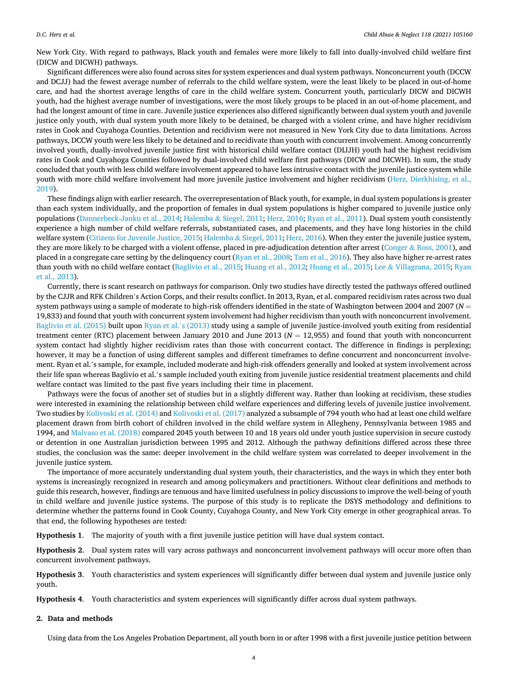New York City. With regard to pathways, Black youth and females were more likely to fall into dually-involved child welfare first (DICW and DICWH) pathways.

Significant differences were also found across sites for system experiences and dual system pathways. Nonconcurrent youth (DCCW and DCJJ) had the fewest average number of referrals to the child welfare system, were the least likely to be placed in out-of-home care, and had the shortest average lengths of care in the child welfare system. Concurrent youth, particularly DICW and DICWH youth, had the highest average number of investigations, were the most likely groups to be placed in an out-of-home placement, and had the longest amount of time in care. Juvenile justice experiences also differed significantly between dual system youth and juvenile justice only youth, with dual system youth more likely to be detained, be charged with a violent crime, and have higher recidivism rates in Cook and Cuyahoga Counties. Detention and recidivism were not measured in New York City due to data limitations. Across pathways, DCCW youth were less likely to be detained and to recidivate than youth with concurrent involvement. Among concurrently involved youth, dually-involved juvenile justice first with historical child welfare contact (DIJJH) youth had the highest recidivism rates in Cook and Cuyahoga Counties followed by dual-involved child welfare first pathways (DICW and DICWH). In sum, the study concluded that youth with less child welfare involvement appeared to have less intrusive contact with the juvenile justice system while youth with more child welfare involvement had more juvenile justice involvement and higher recidivism [\(Herz, Dierkhising, et al.,](#page-11-0) [2019\)](#page-11-0).

These findings align with earlier research. The overrepresentation of Black youth, for example, in dual system populations is greater than each system individually, and the proportion of females in dual system populations is higher compared to juvenile justice only populations [\(Dannerbeck-Janku et al., 2014;](#page-11-0) Halemba & [Siegel, 2011](#page-11-0); [Herz, 2016](#page-11-0); [Ryan et al., 2011](#page-11-0)). Dual system youth consistently experience a high number of child welfare referrals, substantiated cases, and placements, and they have long histories in the child welfare system ([Citizens for Juvenile Justice, 2015;](#page-10-0) Halemba & [Siegel, 2011; Herz, 2016](#page-11-0)). When they enter the juvenile justice system, they are more likely to be charged with a violent offense, placed in pre-adjudication detention after arrest (Conger & [Ross, 2001](#page-10-0)), and placed in a congregate care setting by the delinquency court [\(Ryan et al., 2008](#page-11-0); [Tam et al., 2016\)](#page-11-0). They also have higher re-arrest rates than youth with no child welfare contact ([Baglivio et al., 2015](#page-10-0); [Huang et al., 2012; Huang et al., 2015](#page-11-0); Lee & [Villagrana, 2015; Ryan](#page-11-0) [et al., 2013](#page-11-0)).

Currently, there is scant research on pathways for comparison. Only two studies have directly tested the pathways offered outlined by the CJJR and RFK Children's Action Corps, and their results conflict. In 2013, Ryan, et al. compared recidivism rates across two dual system pathways using a sample of moderate to high-risk offenders identified in the state of Washington between 2004 and 2007 (*N* = 19,833) and found that youth with concurrent system involvement had higher recidivism than youth with nonconcurrent involvement. [Baglivio et al. \(2015\)](#page-10-0) built upon [Ryan et al.](#page-11-0)'s (2013) study using a sample of juvenile justice-involved youth exiting from residential treatment center (RTC) placement between January 2010 and June 2013 (*N* = 12,955) and found that youth with nonconcurrent system contact had slightly higher recidivism rates than those with concurrent contact. The difference in findings is perplexing; however, it may be a function of using different samples and different timeframes to define concurrent and nonconcurrent involvement. Ryan et al.'s sample, for example, included moderate and high-risk offenders generally and looked at system involvement across their life span whereas Baglivio et al.'s sample included youth exiting from juvenile justice residential treatment placements and child welfare contact was limited to the past five years including their time in placement.

Pathways were the focus of another set of studies but in a slightly different way. Rather than looking at recidivism, these studies were interested in examining the relationship between child welfare experiences and differing levels of juvenile justice involvement. Two studies by [Kolivoski et al. \(2014\)](#page-11-0) and [Kolivoski et al. \(2017\)](#page-11-0) analyzed a subsample of 794 youth who had at least one child welfare placement drawn from birth cohort of children involved in the child welfare system in Allegheny, Pennsylvania between 1985 and 1994, and [Malvaso et al. \(2018\)](#page-11-0) compared 2045 youth between 10 and 18 years old under youth justice supervision in secure custody or detention in one Australian jurisdiction between 1995 and 2012. Although the pathway definitions differed across these three studies, the conclusion was the same: deeper involvement in the child welfare system was correlated to deeper involvement in the juvenile justice system.

The importance of more accurately understanding dual system youth, their characteristics, and the ways in which they enter both systems is increasingly recognized in research and among policymakers and practitioners. Without clear definitions and methods to guide this research, however, findings are tenuous and have limited usefulness in policy discussions to improve the well-being of youth in child welfare and juvenile justice systems. The purpose of this study is to replicate the DSYS methodology and definitions to determine whether the patterns found in Cook County, Cuyahoga County, and New York City emerge in other geographical areas. To that end, the following hypotheses are tested:

**Hypothesis 1**. The majority of youth with a first juvenile justice petition will have dual system contact.

**Hypothesis 2**. Dual system rates will vary across pathways and nonconcurrent involvement pathways will occur more often than concurrent involvement pathways.

**Hypothesis 3**. Youth characteristics and system experiences will significantly differ between dual system and juvenile justice only youth.

**Hypothesis 4**. Youth characteristics and system experiences will significantly differ across dual system pathways.

### **2. Data and methods**

Using data from the Los Angeles Probation Department, all youth born in or after 1998 with a first juvenile justice petition between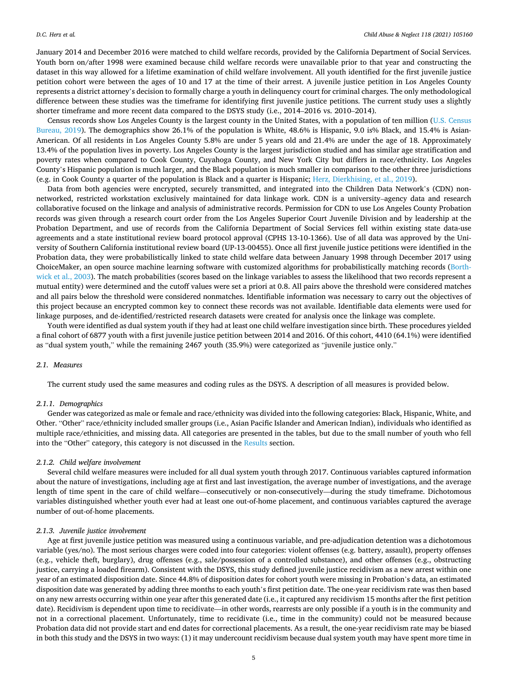January 2014 and December 2016 were matched to child welfare records, provided by the California Department of Social Services. Youth born on/after 1998 were examined because child welfare records were unavailable prior to that year and constructing the dataset in this way allowed for a lifetime examination of child welfare involvement. All youth identified for the first juvenile justice petition cohort were between the ages of 10 and 17 at the time of their arrest. A juvenile justice petition in Los Angeles County represents a district attorney's decision to formally charge a youth in delinquency court for criminal charges. The only methodological difference between these studies was the timeframe for identifying first juvenile justice petitions. The current study uses a slightly shorter timeframe and more recent data compared to the DSYS study (i.e., 2014–2016 vs. 2010–2014).

Census records show Los Angeles County is the largest county in the United States, with a population of ten million [\(U.S. Census](#page-11-0) [Bureau, 2019](#page-11-0)). The demographics show 26.1% of the population is White, 48.6% is Hispanic, 9.0 is% Black, and 15.4% is Asian-American. Of all residents in Los Angeles County 5.8% are under 5 years old and 21.4% are under the age of 18. Approximately 13.4% of the population lives in poverty. Los Angeles County is the largest jurisdiction studied and has similar age stratification and poverty rates when compared to Cook County, Cuyahoga County, and New York City but differs in race/ethnicity. Los Angeles County's Hispanic population is much larger, and the Black population is much smaller in comparison to the other three jurisdictions (e.g. in Cook County a quarter of the population is Black and a quarter is Hispanic; [Herz, Dierkhising, et al., 2019](#page-11-0)).

Data from both agencies were encrypted, securely transmitted, and integrated into the Children Data Network's (CDN) nonnetworked, restricted workstation exclusively maintained for data linkage work. CDN is a university–agency data and research collaborative focused on the linkage and analysis of administrative records. Permission for CDN to use Los Angeles County Probation records was given through a research court order from the Los Angeles Superior Court Juvenile Division and by leadership at the Probation Department, and use of records from the California Department of Social Services fell within existing state data-use agreements and a state institutional review board protocol approval (CPHS 13-10-1366). Use of all data was approved by the University of Southern California institutional review board (UP-13-00455). Once all first juvenile justice petitions were identified in the Probation data, they were probabilistically linked to state child welfare data between January 1998 through December 2017 using ChoiceMaker, an open source machine learning software with customized algorithms for probabilistically matching records [\(Borth](#page-10-0)[wick et al., 2003](#page-10-0)). The match probabilities (scores based on the linkage variables to assess the likelihood that two records represent a mutual entity) were determined and the cutoff values were set a priori at 0.8. All pairs above the threshold were considered matches and all pairs below the threshold were considered nonmatches. Identifiable information was necessary to carry out the objectives of this project because an encrypted common key to connect these records was not available. Identifiable data elements were used for linkage purposes, and de-identified/restricted research datasets were created for analysis once the linkage was complete.

Youth were identified as dual system youth if they had at least one child welfare investigation since birth. These procedures yielded a final cohort of 6877 youth with a first juvenile justice petition between 2014 and 2016. Of this cohort, 4410 (64.1%) were identified as "dual system youth," while the remaining 2467 youth (35.9%) were categorized as "juvenile justice only."

# *2.1. Measures*

The current study used the same measures and coding rules as the DSYS. A description of all measures is provided below.

#### *2.1.1. Demographics*

Gender was categorized as male or female and race/ethnicity was divided into the following categories: Black, Hispanic, White, and Other. "Other" race/ethnicity included smaller groups (i.e., Asian Pacific Islander and American Indian), individuals who identified as multiple race/ethnicities, and missing data. All categories are presented in the tables, but due to the small number of youth who fell into the "Other" category, this category is not discussed in the [Results](#page-5-0) section.

### *2.1.2. Child welfare involvement*

Several child welfare measures were included for all dual system youth through 2017. Continuous variables captured information about the nature of investigations, including age at first and last investigation, the average number of investigations, and the average length of time spent in the care of child welfare—consecutively or non-consecutively—during the study timeframe. Dichotomous variables distinguished whether youth ever had at least one out-of-home placement, and continuous variables captured the average number of out-of-home placements.

#### *2.1.3. Juvenile justice involvement*

Age at first juvenile justice petition was measured using a continuous variable, and pre-adjudication detention was a dichotomous variable (yes/no). The most serious charges were coded into four categories: violent offenses (e.g. battery, assault), property offenses (e.g., vehicle theft, burglary), drug offenses (e.g., sale/possession of a controlled substance), and other offenses (e.g., obstructing justice, carrying a loaded firearm). Consistent with the DSYS, this study defined juvenile justice recidivism as a new arrest within one year of an estimated disposition date. Since 44.8% of disposition dates for cohort youth were missing in Probation's data, an estimated disposition date was generated by adding three months to each youth's first petition date. The one-year recidivism rate was then based on any new arrests occurring within one year after this generated date (i.e., it captured any recidivism 15 months after the first petition date). Recidivism is dependent upon time to recidivate—in other words, rearrests are only possible if a youth is in the community and not in a correctional placement. Unfortunately, time to recidivate (i.e., time in the community) could not be measured because Probation data did not provide start and end dates for correctional placements. As a result, the one-year recidivism rate may be biased in both this study and the DSYS in two ways: (1) it may undercount recidivism because dual system youth may have spent more time in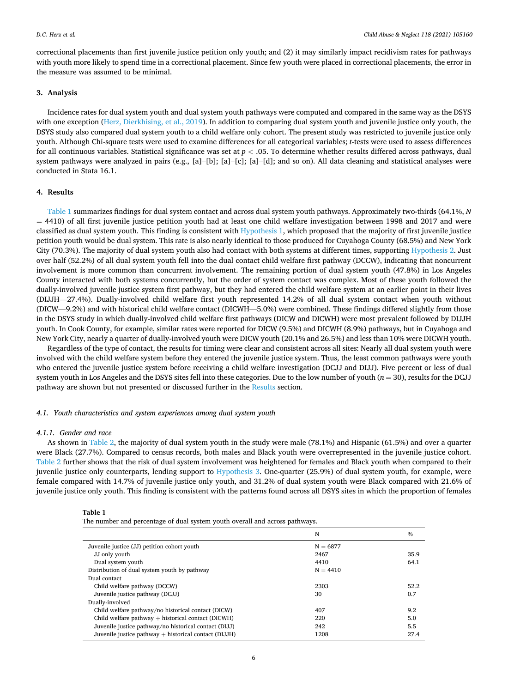<span id="page-5-0"></span>correctional placements than first juvenile justice petition only youth; and (2) it may similarly impact recidivism rates for pathways with youth more likely to spend time in a correctional placement. Since few youth were placed in correctional placements, the error in the measure was assumed to be minimal.

# **3. Analysis**

Incidence rates for dual system youth and dual system youth pathways were computed and compared in the same way as the DSYS with one exception [\(Herz, Dierkhising, et al., 2019](#page-11-0)). In addition to comparing dual system youth and juvenile justice only youth, the DSYS study also compared dual system youth to a child welfare only cohort. The present study was restricted to juvenile justice only youth. Although Chi-square tests were used to examine differences for all categorical variables; *t*-tests were used to assess differences for all continuous variables. Statistical significance was set at *p <* .05. To determine whether results differed across pathways, dual system pathways were analyzed in pairs (e.g., [a]–[b]; [a]–[c]; [a]–[d]; and so on). All data cleaning and statistical analyses were conducted in Stata 16.1.

# **4. Results**

Table 1 summarizes findings for dual system contact and across dual system youth pathways. Approximately two-thirds (64.1%, *N*  = 4410) of all first juvenile justice petition youth had at least one child welfare investigation between 1998 and 2017 and were classified as dual system youth. This finding is consistent with Hypothesis 1, which proposed that the majority of first juvenile justice petition youth would be dual system. This rate is also nearly identical to those produced for Cuyahoga County (68.5%) and New York City (70.3%). The majority of dual system youth also had contact with both systems at different times, supporting Hypothesis 2. Just over half (52.2%) of all dual system youth fell into the dual contact child welfare first pathway (DCCW), indicating that noncurrent involvement is more common than concurrent involvement. The remaining portion of dual system youth (47.8%) in Los Angeles County interacted with both systems concurrently, but the order of system contact was complex. Most of these youth followed the dually-involved juvenile justice system first pathway, but they had entered the child welfare system at an earlier point in their lives (DIJJH—27.4%). Dually-involved child welfare first youth represented 14.2% of all dual system contact when youth without (DICW—9.2%) and with historical child welfare contact (DICWH—5.0%) were combined. These findings differed slightly from those in the DSYS study in which dually-involved child welfare first pathways (DICW and DICWH) were most prevalent followed by DIJJH youth. In Cook County, for example, similar rates were reported for DICW (9.5%) and DICWH (8.9%) pathways, but in Cuyahoga and New York City, nearly a quarter of dually-involved youth were DICW youth (20.1% and 26.5%) and less than 10% were DICWH youth.

Regardless of the type of contact, the results for timing were clear and consistent across all sites: Nearly all dual system youth were involved with the child welfare system before they entered the juvenile justice system. Thus, the least common pathways were youth who entered the juvenile justice system before receiving a child welfare investigation (DCJJ and DIJJ). Five percent or less of dual system youth in Los Angeles and the DSYS sites fell into these categories. Due to the low number of youth  $(n = 30)$ , results for the DCJJ pathway are shown but not presented or discussed further in the Results section.

#### *4.1. Youth characteristics and system experiences among dual system youth*

# *4.1.1. Gender and race*

As shown in [Table 2](#page-6-0), the majority of dual system youth in the study were male (78.1%) and Hispanic (61.5%) and over a quarter were Black (27.7%). Compared to census records, both males and Black youth were overrepresented in the juvenile justice cohort. [Table 2](#page-6-0) further shows that the risk of dual system involvement was heightened for females and Black youth when compared to their juvenile justice only counterparts, lending support to Hypothesis 3. One-quarter (25.9%) of dual system youth, for example, were female compared with 14.7% of juvenile justice only youth, and 31.2% of dual system youth were Black compared with 21.6% of juvenile justice only youth. This finding is consistent with the patterns found across all DSYS sites in which the proportion of females

| Table |  |
|-------|--|
|-------|--|

The number and percentage of dual system youth overall and across pathways.

|                                                         | N          | $\%$ |
|---------------------------------------------------------|------------|------|
| Juvenile justice (JJ) petition cohort youth             | $N = 6877$ |      |
| JJ only youth                                           | 2467       | 35.9 |
| Dual system youth                                       | 4410       | 64.1 |
| Distribution of dual system youth by pathway            | $N = 4410$ |      |
| Dual contact                                            |            |      |
| Child welfare pathway (DCCW)                            | 2303       | 52.2 |
| Juvenile justice pathway (DCJJ)                         | 30         | 0.7  |
| Dually-involved                                         |            |      |
| Child welfare pathway/no historical contact (DICW)      | 407        | 9.2  |
| Child welfare pathway $+$ historical contact (DICWH)    | 220        | 5.0  |
| Juvenile justice pathway/no historical contact (DIJJ)   | 242        | 5.5  |
| Juvenile justice pathway $+$ historical contact (DIJJH) | 1208       | 27.4 |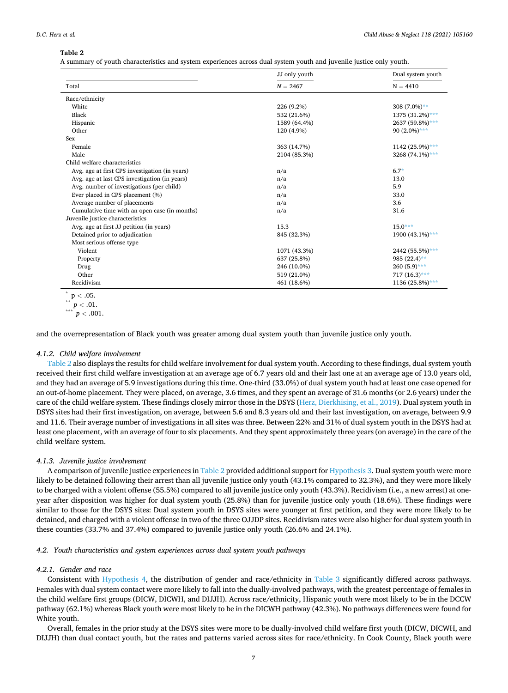# <span id="page-6-0"></span>**Table 2**

A summary of youth characteristics and system experiences across dual system youth and juvenile justice only youth.

|                                                | JJ only youth | Dual system youth |  |
|------------------------------------------------|---------------|-------------------|--|
| Total                                          | $N = 2467$    | $N = 4410$        |  |
| Race/ethnicity                                 |               |                   |  |
| White                                          | 226 (9.2%)    | $308(7.0\%)**$    |  |
| Black                                          | 532 (21.6%)   | 1375 (31.2%)***   |  |
| Hispanic                                       | 1589 (64.4%)  | 2637 (59.8%)***   |  |
| Other                                          | 120 (4.9%)    | 90 $(2.0\%)$ ***  |  |
| Sex                                            |               |                   |  |
| Female                                         | 363 (14.7%)   | 1142 (25.9%)***   |  |
| Male                                           | 2104 (85.3%)  | 3268 (74.1%)***   |  |
| Child welfare characteristics                  |               |                   |  |
| Avg. age at first CPS investigation (in years) | n/a           | $6.7*$            |  |
| Avg. age at last CPS investigation (in years)  | n/a           | 13.0              |  |
| Avg. number of investigations (per child)      | n/a           | 5.9               |  |
| Ever placed in CPS placement (%)               | n/a           | 33.0              |  |
| Average number of placements                   | n/a           | 3.6               |  |
| Cumulative time with an open case (in months)  | n/a           | 31.6              |  |
| Juvenile justice characteristics               |               |                   |  |
| Avg. age at first JJ petition (in years)       | 15.3          | $15.0***$         |  |
| Detained prior to adjudication                 | 845 (32.3%)   | 1900 (43.1%)***   |  |
| Most serious offense type                      |               |                   |  |
| Violent                                        | 1071 (43.3%)  | 2442 (55.5%)***   |  |
| Property                                       | 637 (25.8%)   | 985 $(22.4)$ **   |  |
| Drug                                           | 246 (10.0%)   | $260(5.9)$ ***    |  |
| Other                                          | 519 (21.0%)   | $717(16.3)***$    |  |
| Recidivism                                     | 461 (18.6%)   | 1136 (25.8%)***   |  |

$$
\frac{1}{p} < .05.
$$

$$
\begin{array}{l} \n \ast \ast \quad p < .01. \\
\ast \ast \ast \quad p < .001. \\
\end{array}
$$

and the overrepresentation of Black youth was greater among dual system youth than juvenile justice only youth.

#### *4.1.2. Child welfare involvement*

Table 2 also displays the results for child welfare involvement for dual system youth. According to these findings, dual system youth received their first child welfare investigation at an average age of 6.7 years old and their last one at an average age of 13.0 years old, and they had an average of 5.9 investigations during this time. One-third (33.0%) of dual system youth had at least one case opened for an out-of-home placement. They were placed, on average, 3.6 times, and they spent an average of 31.6 months (or 2.6 years) under the care of the child welfare system. These findings closely mirror those in the DSYS ([Herz, Dierkhising, et al., 2019](#page-11-0)). Dual system youth in DSYS sites had their first investigation, on average, between 5.6 and 8.3 years old and their last investigation, on average, between 9.9 and 11.6. Their average number of investigations in all sites was three. Between 22% and 31% of dual system youth in the DSYS had at least one placement, with an average of four to six placements. And they spent approximately three years (on average) in the care of the child welfare system.

### *4.1.3. Juvenile justice involvement*

A comparison of juvenile justice experiences in Table 2 provided additional support for Hypothesis 3. Dual system youth were more likely to be detained following their arrest than all juvenile justice only youth (43.1% compared to 32.3%), and they were more likely to be charged with a violent offense (55.5%) compared to all juvenile justice only youth (43.3%). Recidivism (i.e., a new arrest) at oneyear after disposition was higher for dual system youth (25.8%) than for juvenile justice only youth (18.6%). These findings were similar to those for the DSYS sites: Dual system youth in DSYS sites were younger at first petition, and they were more likely to be detained, and charged with a violent offense in two of the three OJJDP sites. Recidivism rates were also higher for dual system youth in these counties (33.7% and 37.4%) compared to juvenile justice only youth (26.6% and 24.1%).

# *4.2. Youth characteristics and system experiences across dual system youth pathways*

# *4.2.1. Gender and race*

Consistent with Hypothesis 4, the distribution of gender and race/ethnicity in [Table 3](#page-7-0) significantly differed across pathways. Females with dual system contact were more likely to fall into the dually-involved pathways, with the greatest percentage of females in the child welfare first groups (DICW, DICWH, and DIJJH). Across race/ethnicity, Hispanic youth were most likely to be in the DCCW pathway (62.1%) whereas Black youth were most likely to be in the DICWH pathway (42.3%). No pathways differences were found for White youth.

Overall, females in the prior study at the DSYS sites were more to be dually-involved child welfare first youth (DICW, DICWH, and DIJJH) than dual contact youth, but the rates and patterns varied across sites for race/ethnicity. In Cook County, Black youth were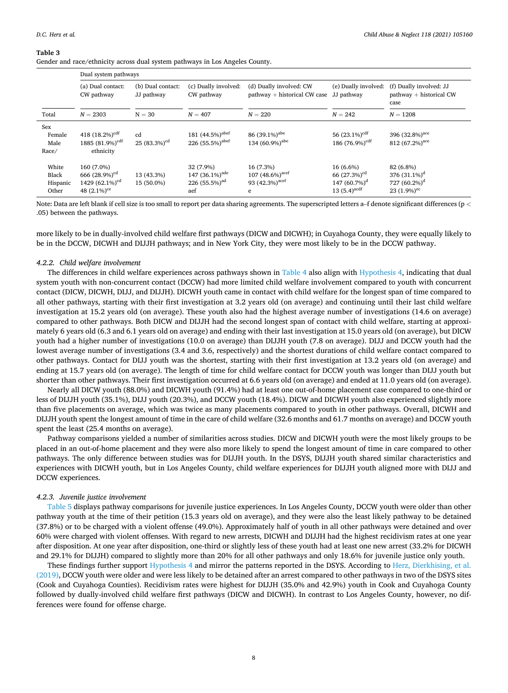#### <span id="page-7-0"></span>**Table 3**

Gender and race/ethnicity across dual system pathways in Los Angeles County.

|                                     | Dual system pathways                                                                       |                                 |                                                                               |                                                                                |                                                                               |                                                                                 |  |
|-------------------------------------|--------------------------------------------------------------------------------------------|---------------------------------|-------------------------------------------------------------------------------|--------------------------------------------------------------------------------|-------------------------------------------------------------------------------|---------------------------------------------------------------------------------|--|
|                                     | (a) Dual contact:<br>CW pathway                                                            | (b) Dual contact:<br>JJ pathway | (c) Dually involved:<br>CW pathway                                            | (d) Dually involved: CW<br>pathway + historical CW case                        | (e) Dually involved:<br>JJ pathway                                            | (f) Dually involved: JJ<br>$pathway + historical CW$<br>case                    |  |
| Total                               | $N = 2303$                                                                                 | $N = 30$                        | $N = 407$                                                                     | $N = 220$                                                                      | $N = 242$                                                                     | $N = 1208$                                                                      |  |
| Sex<br>Female<br>Male<br>Race/      | 418 $(18.2\%)cdf$<br>1885 $(81.9\%)cdf$<br>ethnicity                                       | cd<br>25 $(83.3\%)cd$           | 181 (44.5%) <sup>abef</sup><br>226 (55.5%) <sup>abef</sup>                    | 86 (39.1%) <sup>abe</sup><br>134 (60.9%) <sup>abe</sup>                        | 56 $(23.1\%)cdf$<br>186 (76.9%) <sup>cdf</sup>                                | 396 (32.8%) <sup>ace</sup><br>812 $(67.2\%)$ <sup>ace</sup>                     |  |
| White<br>Black<br>Hispanic<br>Other | 160 (7.0%)<br>666 $(28.9\%)cd$<br>1429 (62.1%) <sup>cd</sup><br>48 $(2.1\%)$ <sup>ce</sup> | 13 (43.3%)<br>15 (50.0%)        | 32 (7.9%)<br>147 $(36.1\%)$ <sup>ade</sup><br>226(55.5%) <sup>ad</sup><br>aef | 16 (7.3%)<br>107 $(48.6\%)$ <sup>acef</sup><br>93 (42.3%) <sup>acef</sup><br>e | 16 (6.6%)<br>66 $(27.3%)cd$<br>147 $(60.7\%)^d$<br>13 $(5.4)$ <sup>acdf</sup> | 82 (6.8%)<br>376 $(31.1\%)^d$<br>727 $(60.2\%)^d$<br>23 $(1.9\%)$ <sup>ec</sup> |  |

Note: Data are left blank if cell size is too small to report per data sharing agreements. The superscripted letters a–f denote significant differences (p *<* .05) between the pathways.

more likely to be in dually-involved child welfare first pathways (DICW and DICWH); in Cuyahoga County, they were equally likely to be in the DCCW, DICWH and DIJJH pathways; and in New York City, they were most likely to be in the DCCW pathway.

# *4.2.2. Child welfare involvement*

The differences in child welfare experiences across pathways shown in [Table 4](#page-8-0) also align with Hypothesis 4, indicating that dual system youth with non-concurrent contact (DCCW) had more limited child welfare involvement compared to youth with concurrent contact (DICW, DICWH, DIJJ, and DIJJH). DICWH youth came in contact with child welfare for the longest span of time compared to all other pathways, starting with their first investigation at 3.2 years old (on average) and continuing until their last child welfare investigation at 15.2 years old (on average). These youth also had the highest average number of investigations (14.6 on average) compared to other pathways. Both DICW and DIJJH had the second longest span of contact with child welfare, starting at approximately 6 years old (6.3 and 6.1 years old on average) and ending with their last investigation at 15.0 years old (on average), but DICW youth had a higher number of investigations (10.0 on average) than DIJJH youth (7.8 on average). DIJJ and DCCW youth had the lowest average number of investigations (3.4 and 3.6, respectively) and the shortest durations of child welfare contact compared to other pathways. Contact for DIJJ youth was the shortest, starting with their first investigation at 13.2 years old (on average) and ending at 15.7 years old (on average). The length of time for child welfare contact for DCCW youth was longer than DIJJ youth but shorter than other pathways. Their first investigation occurred at 6.6 years old (on average) and ended at 11.0 years old (on average).

Nearly all DICW youth (88.0%) and DICWH youth (91.4%) had at least one out-of-home placement case compared to one-third or less of DIJJH youth (35.1%), DIJJ youth (20.3%), and DCCW youth (18.4%). DICW and DICWH youth also experienced slightly more than five placements on average, which was twice as many placements compared to youth in other pathways. Overall, DICWH and DIJJH youth spent the longest amount of time in the care of child welfare (32.6 months and 61.7 months on average) and DCCW youth spent the least (25.4 months on average).

Pathway comparisons yielded a number of similarities across studies. DICW and DICWH youth were the most likely groups to be placed in an out-of-home placement and they were also more likely to spend the longest amount of time in care compared to other pathways. The only difference between studies was for DIJJH youth. In the DSYS, DIJJH youth shared similar characteristics and experiences with DICWH youth, but in Los Angeles County, child welfare experiences for DIJJH youth aligned more with DIJJ and DCCW experiences.

#### *4.2.3. Juvenile justice involvement*

[Table 5](#page-9-0) displays pathway comparisons for juvenile justice experiences. In Los Angeles County, DCCW youth were older than other pathway youth at the time of their petition (15.3 years old on average), and they were also the least likely pathway to be detained (37.8%) or to be charged with a violent offense (49.0%). Approximately half of youth in all other pathways were detained and over 60% were charged with violent offenses. With regard to new arrests, DICWH and DIJJH had the highest recidivism rates at one year after disposition. At one year after disposition, one-third or slightly less of these youth had at least one new arrest (33.2% for DICWH and 29.1% for DIJJH) compared to slightly more than 20% for all other pathways and only 18.6% for juvenile justice only youth.

These findings further support Hypothesis 4 and mirror the patterns reported in the DSYS. According to [Herz, Dierkhising, et al.](#page-11-0) [\(2019\),](#page-11-0) DCCW youth were older and were less likely to be detained after an arrest compared to other pathways in two of the DSYS sites (Cook and Cuyahoga Counties). Recidivism rates were highest for DIJJH (35.0% and 42.9%) youth in Cook and Cuyahoga County followed by dually-involved child welfare first pathways (DICW and DICWH). In contrast to Los Angeles County, however, no differences were found for offense charge.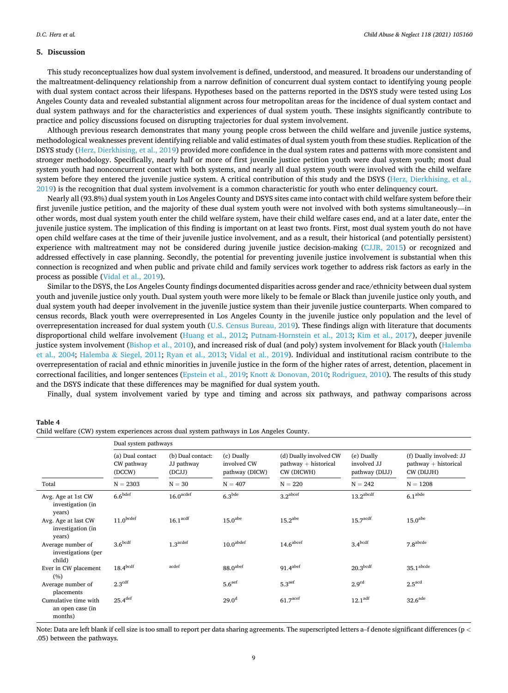# <span id="page-8-0"></span>**5. Discussion**

This study reconceptualizes how dual system involvement is defined, understood, and measured. It broadens our understanding of the maltreatment-delinquency relationship from a narrow definition of concurrent dual system contact to identifying young people with dual system contact across their lifespans. Hypotheses based on the patterns reported in the DSYS study were tested using Los Angeles County data and revealed substantial alignment across four metropolitan areas for the incidence of dual system contact and dual system pathways and for the characteristics and experiences of dual system youth. These insights significantly contribute to practice and policy discussions focused on disrupting trajectories for dual system involvement.

Although previous research demonstrates that many young people cross between the child welfare and juvenile justice systems, methodological weaknesses prevent identifying reliable and valid estimates of dual system youth from these studies. Replication of the DSYS study ([Herz, Dierkhising, et al., 2019\)](#page-11-0) provided more confidence in the dual system rates and patterns with more consistent and stronger methodology. Specifically, nearly half or more of first juvenile justice petition youth were dual system youth; most dual system youth had nonconcurrent contact with both systems, and nearly all dual system youth were involved with the child welfare system before they entered the juvenile justice system. A critical contribution of this study and the DSYS [\(Herz, Dierkhising, et al.,](#page-11-0) [2019\)](#page-11-0) is the recognition that dual system involvement is a common characteristic for youth who enter delinquency court.

Nearly all (93.8%) dual system youth in Los Angeles County and DSYS sites came into contact with child welfare system before their first juvenile justice petition, and the majority of these dual system youth were not involved with both systems simultaneously—in other words, most dual system youth enter the child welfare system, have their child welfare cases end, and at a later date, enter the juvenile justice system. The implication of this finding is important on at least two fronts. First, most dual system youth do not have open child welfare cases at the time of their juvenile justice involvement, and as a result, their historical (and potentially persistent) experience with maltreatment may not be considered during juvenile justice decision-making [\(CJJR, 2015](#page-10-0)) or recognized and addressed effectively in case planning. Secondly, the potential for preventing juvenile justice involvement is substantial when this connection is recognized and when public and private child and family services work together to address risk factors as early in the process as possible [\(Vidal et al., 2019\)](#page-11-0).

Similar to the DSYS, the Los Angeles County findings documented disparities across gender and race/ethnicity between dual system youth and juvenile justice only youth. Dual system youth were more likely to be female or Black than juvenile justice only youth, and dual system youth had deeper involvement in the juvenile justice system than their juvenile justice counterparts. When compared to census records, Black youth were overrepresented in Los Angeles County in the juvenile justice only population and the level of overrepresentation increased for dual system youth ([U.S. Census Bureau, 2019](#page-11-0)). These findings align with literature that documents disproportional child welfare involvement [\(Huang et al., 2012;](#page-11-0) [Putnam-Hornstein et al., 2013;](#page-11-0) [Kim et al., 2017](#page-11-0)), deeper juvenile justice system involvement ([Bishop et al., 2010](#page-10-0)), and increased risk of dual (and poly) system involvement for Black youth ([Halemba](#page-11-0) [et al., 2004](#page-11-0); Halemba & [Siegel, 2011](#page-11-0); [Ryan et al., 2013;](#page-11-0) [Vidal et al., 2019](#page-11-0)). Individual and institutional racism contribute to the overrepresentation of racial and ethnic minorities in juvenile justice in the form of the higher rates of arrest, detention, placement in correctional facilities, and longer sentences ([Epstein et al., 2019;](#page-11-0) Knott & [Donovan, 2010; Rodriguez, 2010](#page-11-0)). The results of this study and the DSYS indicate that these differences may be magnified for dual system youth.

Finally, dual system involvement varied by type and timing and across six pathways, and pathway comparisons across

|                                                     | Dual system pathways                     |                                           |                                             |                                                                |                                             |                                                                 |  |  |
|-----------------------------------------------------|------------------------------------------|-------------------------------------------|---------------------------------------------|----------------------------------------------------------------|---------------------------------------------|-----------------------------------------------------------------|--|--|
|                                                     | (a) Dual contact<br>CW pathway<br>(DCCW) | (b) Dual contact:<br>JJ pathway<br>(DCJJ) | (c) Dually<br>involved CW<br>pathway (DICW) | (d) Dually involved CW<br>$pathway + historical$<br>CW (DICWH) | (e) Dually<br>involved JJ<br>pathway (DIJJ) | (f) Dually involved: JJ<br>$pathway + historical$<br>CW (DIJJH) |  |  |
| Total                                               | $N = 2303$                               | $N = 30$                                  | $N = 407$                                   | $N = 220$                                                      | $N = 242$                                   | $N = 1208$                                                      |  |  |
| Avg. Age at 1st CW<br>investigation (in<br>years)   | 6.6 <sup>bdef</sup>                      | $16.0$ <sup>acdef</sup>                   | 6.3 <sup>bde</sup>                          | 3.2 <sup>abcdef</sup>                                          | 13.2 <sup>abcdf</sup>                       | 6.1 <sup>abde</sup>                                             |  |  |
| Avg. Age at last CW<br>investigation (in<br>years)  | $11.0^{\rm bedef}$                       | $16.1$ <sup>acdf</sup>                    | 15.0 <sup>abe</sup>                         | 15.2 <sup>abe</sup>                                            | $15.7$ <sup>acdf</sup>                      | 15.0 <sup>abe</sup>                                             |  |  |
| Average number of<br>investigations (per<br>child)  | 3.6 <sup>bcdf</sup>                      | $1.3$ <sup>acdef</sup>                    | $10.0^{\rm abdef}$                          | $14.6$ <sup>abcef</sup>                                        | 3.4 <sup>bcdf</sup>                         | 7.8 <sup>abcde</sup>                                            |  |  |
| Ever in CW placement<br>(%)                         | 18.4 <sup>bcdf</sup>                     | acdef                                     | 88.0 <sup>abef</sup>                        | $91.4$ <sup>abef</sup>                                         | 20.3 <sup>bcdf</sup>                        | $35.1^{\rm abcde}$                                              |  |  |
| Average number of<br>placements                     | $2.3^{\text{cdf}}$                       |                                           | 5.6 <sup>aef</sup>                          | 5.3 <sup>aef</sup>                                             | 2.9 <sup>cd</sup>                           | $2.5$ <sup>acd</sup>                                            |  |  |
| Cumulative time with<br>an open case (in<br>months) | 25.4 <sup>def</sup>                      |                                           | 29.0 <sup>d</sup>                           | $61.7$ <sup>acef</sup>                                         | 12.1 <sup>adf</sup>                         | $32.6$ <sup>ade</sup>                                           |  |  |

**Table 4**  Child welfare (CW) system experiences across dual system pathways in Los Angeles County.

Note: Data are left blank if cell size is too small to report per data sharing agreements. The superscripted letters a–f denote significant differences (p *<* .05) between the pathways.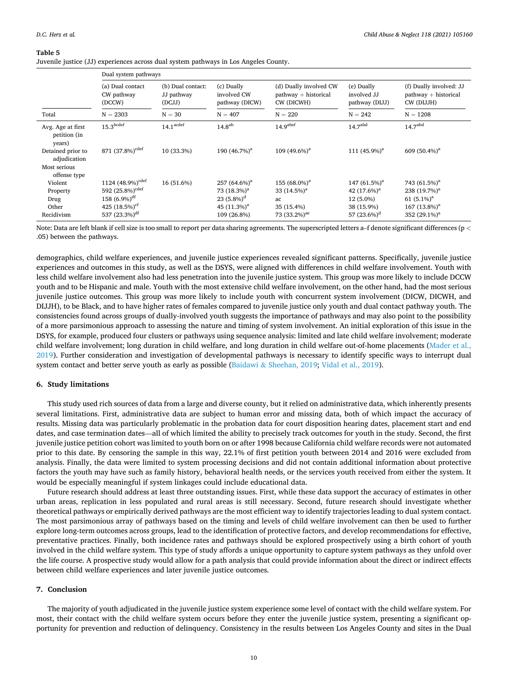#### <span id="page-9-0"></span>**Table 5**

Juvenile justice (JJ) experiences across dual system pathways in Los Angeles County.

|                                                                   | Dual system pathways                     |                                           |                                             |                                                                |                                             |                                                                 |  |  |
|-------------------------------------------------------------------|------------------------------------------|-------------------------------------------|---------------------------------------------|----------------------------------------------------------------|---------------------------------------------|-----------------------------------------------------------------|--|--|
|                                                                   | (a) Dual contact<br>CW pathway<br>(DCCW) | (b) Dual contact:<br>JJ pathway<br>(DCJJ) | (c) Dually<br>involved CW<br>pathway (DICW) | (d) Dually involved CW<br>$pathway + historical$<br>CW (DICWH) | (e) Dually<br>involved JJ<br>pathway (DIJJ) | (f) Dually involved: JJ<br>$pathway + historical$<br>CW (DIJJH) |  |  |
| Total                                                             | $N = 2303$                               | $N = 30$                                  | $N = 407$                                   | $N = 220$                                                      | $N = 242$                                   | $N = 1208$                                                      |  |  |
| Avg. Age at first<br>petition (in<br>years)                       | 15.3 <sup>bcdef</sup>                    | $14.1$ <sup>acdef</sup>                   | $14.8^{ab}$                                 | 14.9 <sup>abef</sup>                                           | 14.7 <sup>abd</sup>                         | 14.7 <sup>abd</sup>                                             |  |  |
| Detained prior to<br>adjudication<br>Most serious<br>offense type | 871 (37.8%) <sup>cdef</sup>              | 10 (33.3%)                                | 190 (46.7%) <sup>a</sup>                    | 109 $(49.6\%)$ <sup>a</sup>                                    | 111 $(45.9\%)^a$                            | 609 $(50.4\%)^a$                                                |  |  |
| Violent                                                           | 1124 (48.9%) <sup>cdef</sup>             | 16 (51.6%)                                | 257 $(64.6\%)$ <sup>a</sup>                 | 155 $(68.0\%)$ <sup>a</sup>                                    | 147 (61.5%) <sup>a</sup>                    | 743 (61.5%) <sup>a</sup>                                        |  |  |
| Property                                                          | 592 (25.8%) <sup>cdef</sup>              |                                           | 73 $(18.3%)a$                               | 33 $(14.5\%)^a$                                                | 42 $(17.6\%)^a$                             | 238 $(19.7%)a$                                                  |  |  |
| Drug                                                              | 158 $(6.9\%)$ <sup>df</sup>              |                                           | 23 $(5.8\%)^d$                              | ac                                                             | 12 (5.0%)                                   | 61 $(5.1\%)^a$                                                  |  |  |
| Other                                                             | 425 $(18.5\%)^{\text{cf}}$               |                                           | 45 $(11.3\%)^a$                             | 35 (15.4%)                                                     | 38 (15.9%)                                  | 167 $(13.8\%)^a$                                                |  |  |
| Recidivism                                                        | 537 $(23.3\%)$ <sup>df</sup>             |                                           | 109 (26.8%)                                 | 73 (33.2%) <sup>ae</sup>                                       | 57 $(23.6\%)^d$                             | 352 $(29.1\%)^a$                                                |  |  |

Note: Data are left blank if cell size is too small to report per data sharing agreements. The superscripted letters a–f denote significant differences (p *<* .05) between the pathways.

demographics, child welfare experiences, and juvenile justice experiences revealed significant patterns. Specifically, juvenile justice experiences and outcomes in this study, as well as the DSYS, were aligned with differences in child welfare involvement. Youth with less child welfare involvement also had less penetration into the juvenile justice system. This group was more likely to include DCCW youth and to be Hispanic and male. Youth with the most extensive child welfare involvement, on the other hand, had the most serious juvenile justice outcomes. This group was more likely to include youth with concurrent system involvement (DICW, DICWH, and DIJJH), to be Black, and to have higher rates of females compared to juvenile justice only youth and dual contact pathway youth. The consistencies found across groups of dually-involved youth suggests the importance of pathways and may also point to the possibility of a more parsimonious approach to assessing the nature and timing of system involvement. An initial exploration of this issue in the DSYS, for example, produced four clusters or pathways using sequence analysis: limited and late child welfare involvement; moderate child welfare involvement; long duration in child welfare, and long duration in child welfare out-of-home placements [\(Mader et al.,](#page-11-0) [2019\)](#page-11-0). Further consideration and investigation of developmental pathways is necessary to identify specific ways to interrupt dual system contact and better serve youth as early as possible (Baidawi & [Sheehan, 2019](#page-10-0); [Vidal et al., 2019](#page-11-0)).

## **6. Study limitations**

This study used rich sources of data from a large and diverse county, but it relied on administrative data, which inherently presents several limitations. First, administrative data are subject to human error and missing data, both of which impact the accuracy of results. Missing data was particularly problematic in the probation data for court disposition hearing dates, placement start and end dates, and case termination dates—all of which limited the ability to precisely track outcomes for youth in the study. Second, the first juvenile justice petition cohort was limited to youth born on or after 1998 because California child welfare records were not automated prior to this date. By censoring the sample in this way, 22.1% of first petition youth between 2014 and 2016 were excluded from analysis. Finally, the data were limited to system processing decisions and did not contain additional information about protective factors the youth may have such as family history, behavioral health needs, or the services youth received from either the system. It would be especially meaningful if system linkages could include educational data.

Future research should address at least three outstanding issues. First, while these data support the accuracy of estimates in other urban areas, replication in less populated and rural areas is still necessary. Second, future research should investigate whether theoretical pathways or empirically derived pathways are the most efficient way to identify trajectories leading to dual system contact. The most parsimonious array of pathways based on the timing and levels of child welfare involvement can then be used to further explore long-term outcomes across groups, lead to the identification of protective factors, and develop recommendations for effective, preventative practices. Finally, both incidence rates and pathways should be explored prospectively using a birth cohort of youth involved in the child welfare system. This type of study affords a unique opportunity to capture system pathways as they unfold over the life course. A prospective study would allow for a path analysis that could provide information about the direct or indirect effects between child welfare experiences and later juvenile justice outcomes.

# **7. Conclusion**

The majority of youth adjudicated in the juvenile justice system experience some level of contact with the child welfare system. For most, their contact with the child welfare system occurs before they enter the juvenile justice system, presenting a significant opportunity for prevention and reduction of delinquency. Consistency in the results between Los Angeles County and sites in the Dual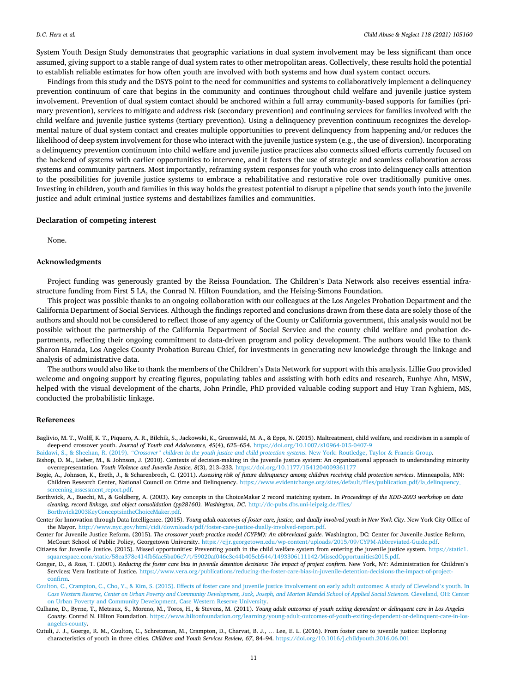<span id="page-10-0"></span>System Youth Design Study demonstrates that geographic variations in dual system involvement may be less significant than once assumed, giving support to a stable range of dual system rates to other metropolitan areas. Collectively, these results hold the potential to establish reliable estimates for how often youth are involved with both systems and how dual system contact occurs.

Findings from this study and the DSYS point to the need for communities and systems to collaboratively implement a delinquency prevention continuum of care that begins in the community and continues throughout child welfare and juvenile justice system involvement. Prevention of dual system contact should be anchored within a full array community-based supports for families (primary prevention), services to mitigate and address risk (secondary prevention) and continuing services for families involved with the child welfare and juvenile justice systems (tertiary prevention). Using a delinquency prevention continuum recognizes the developmental nature of dual system contact and creates multiple opportunities to prevent delinquency from happening and/or reduces the likelihood of deep system involvement for those who interact with the juvenile justice system (e.g., the use of diversion). Incorporating a delinquency prevention continuum into child welfare and juvenile justice practices also connects siloed efforts currently focused on the backend of systems with earlier opportunities to intervene, and it fosters the use of strategic and seamless collaboration across systems and community partners. Most importantly, reframing system responses for youth who cross into delinquency calls attention to the possibilities for juvenile justice systems to embrace a rehabilitative and restorative role over traditionally punitive ones. Investing in children, youth and families in this way holds the greatest potential to disrupt a pipeline that sends youth into the juvenile justice and adult criminal justice systems and destabilizes families and communities.

### **Declaration of competing interest**

None.

# **Acknowledgments**

Project funding was generously granted by the Reissa Foundation. The Children's Data Network also receives essential infrastructure funding from First 5 LA, the Conrad N. Hilton Foundation, and the Heising-Simons Foundation.

This project was possible thanks to an ongoing collaboration with our colleagues at the Los Angeles Probation Department and the California Department of Social Services. Although the findings reported and conclusions drawn from these data are solely those of the authors and should not be considered to reflect those of any agency of the County or California government, this analysis would not be possible without the partnership of the California Department of Social Service and the county child welfare and probation departments, reflecting their ongoing commitment to data-driven program and policy development. The authors would like to thank Sharon Harada, Los Angeles County Probation Bureau Chief, for investments in generating new knowledge through the linkage and analysis of administrative data.

The authors would also like to thank the members of the Children's Data Network for support with this analysis. Lillie Guo provided welcome and ongoing support by creating figures, populating tables and assisting with both edits and research, Eunhye Ahn, MSW, helped with the visual development of the charts, John Prindle, PhD provided valuable coding support and Huy Tran Nghiem, MS, conducted the probabilistic linkage.

#### **References**

- Baglivio, M. T., Wolff, K. T., Piquero, A. R., Bilchik, S., Jackowski, K., Greenwald, M. A., & Epps, N. (2015). Maltreatment, child welfare, and recidivism in a sample of deep-end crossover youth. *Journal of Youth and Adolescence, 45*(4), 625–654. <https://doi.org/10.1007/s10964-015-0407-9>
- dawi, S., & Sheehan, R. (2019). "Crossover" [children in the youth justice and child protection systems](http://refhub.elsevier.com/S0145-2134(21)00233-7/rf0010). New York: Routledge, Taylor & Francis Group.
- Bishop, D. M., Lieber, M., & Johnson, J. (2010). Contexts of decision-making in the juvenile justice system: An organizational approach to understanding minority overrepresentation. *Youth Violence and Juvenile Justice, 8*(3), 213–233. <https://doi.org/10.1177/1541204009361177>
- Bogie, A., Johnson, K., Ereth, J., & Scharenbroch, C. (2011). *Assessing risk of future delinquency among children receiving child protection services*. Minneapolis, MN: Children Research Center, National Council on Crime and Delinquency. [https://www.evidentchange.org/sites/default/files/publication\\_pdf/la\\_delinquency\\_](https://www.evidentchange.org/sites/default/files/publication_pdf/la_delinquency_screening_assessment_report.pdf) [screening\\_assessment\\_report.pdf](https://www.evidentchange.org/sites/default/files/publication_pdf/la_delinquency_screening_assessment_report.pdf).
- Borthwick, A., Buechi, M., & Goldberg, A. (2003). Key concepts in the ChoiceMaker 2 record matching system. In *Proceedings of the KDD-2003 workshop on data cleaning, record linkage, and object consolidation (pp28160). Washington, DC*. [http://dc-pubs.dbs.uni-leipzig.de/files/](http://dc-pubs.dbs.uni-leipzig.de/files/Borthwick2003KeyConceptsintheChoiceMaker.pdf) [Borthwick2003KeyConceptsintheChoiceMaker.pdf.](http://dc-pubs.dbs.uni-leipzig.de/files/Borthwick2003KeyConceptsintheChoiceMaker.pdf)
- Center for Innovation through Data Intelligence. (2015). *Young adult outcomes of foster care, justice, and dually involved youth in New York City*. New York City Office of the Mayor. [http://www.nyc.gov/html/cidi/downloads/pdf/foster-care-justice-dually-involved-report.pdf.](http://www.nyc.gov/html/cidi/downloads/pdf/foster-care-justice-dually-involved-report.pdf)
- Center for Juvenile Justice Reform. (2015). *The crossover youth practice model (CYPM): An abbreviated guide*. Washington, DC: Center for Juvenile Justice Reform, McCourt School of Public Policy, Georgetown University.<https://cjjr.georgetown.edu/wp-content/uploads/2015/09/CYPM-Abbreviated-Guide.pdf>.
- Citizens for Juvenile Justice. (2015). Missed opportunities: Preventing youth in the child welfare system from entering the juvenile justice system. [https://static1.](https://static1.squarespace.com/static/58ea378e414fb5fae5ba06c7/t/59020af046c3c44b405cb544/1493306111142/MissedOpportunities2015.pdf) [squarespace.com/static/58ea378e414fb5fae5ba06c7/t/59020af046c3c44b405cb544/1493306111142/MissedOpportunities2015.pdf](https://static1.squarespace.com/static/58ea378e414fb5fae5ba06c7/t/59020af046c3c44b405cb544/1493306111142/MissedOpportunities2015.pdf).
- Conger, D., & Ross, T. (2001). *Reducing the foster care bias in juvenile detention decisions: The impact of project confirm*. New York, NY: Administration for Children's Services; Vera Institute of Justice. [https://www.vera.org/publications/reducing-the-foster-care-bias-in-juvenile-detention-decisions-the-impact-of-project](https://www.vera.org/publications/reducing-the-foster-care-bias-in-juvenile-detention-decisions-the-impact-of-project-confirm)[confirm.](https://www.vera.org/publications/reducing-the-foster-care-bias-in-juvenile-detention-decisions-the-impact-of-project-confirm)
- [Coulton, C., Crampton, C., Cho, Y., & Kim, S. \(2015\). Effects of foster care and juvenile justice involvement on early adult outcomes: A study of Cleveland](http://refhub.elsevier.com/S0145-2134(21)00233-7/rf1015)'s youth. In *[Case Western Reserve, Center on Urban Poverty and Community Development, Jack, Joseph, and Morton Mandel School of Applied Social Sciences](http://refhub.elsevier.com/S0145-2134(21)00233-7/rf1015)*. Cleveland, OH: Center [on Urban Poverty and Community Development, Case Western Reserve University.](http://refhub.elsevier.com/S0145-2134(21)00233-7/rf1015)
- Culhane, D., Byrne, T., Metraux, S., Moreno, M., Toros, H., & Stevens, M. (2011). *Young adult outcomes of youth exiting dependent or delinquent care in Los Angeles County*. Conrad N. Hilton Foundation. [https://www.hiltonfoundation.org/learning/young-adult-outcomes-of-youth-exiting-dependent-or-delinquent-care-in-los](https://www.hiltonfoundation.org/learning/young-adult-outcomes-of-youth-exiting-dependent-or-delinquent-care-in-los-angeles-county)[angeles-county](https://www.hiltonfoundation.org/learning/young-adult-outcomes-of-youth-exiting-dependent-or-delinquent-care-in-los-angeles-county).
- Cutuli, J. J., Goerge, R. M., Coulton, C., Schretzman, M., Crampton, D., Charvat, B. J., … Lee, E. L. (2016). From foster care to juvenile justice: Exploring characteristics of youth in three cities. *Children and Youth Services Review, 67*, 84–94. <https://doi.org/10.1016/j.childyouth.2016.06.001>